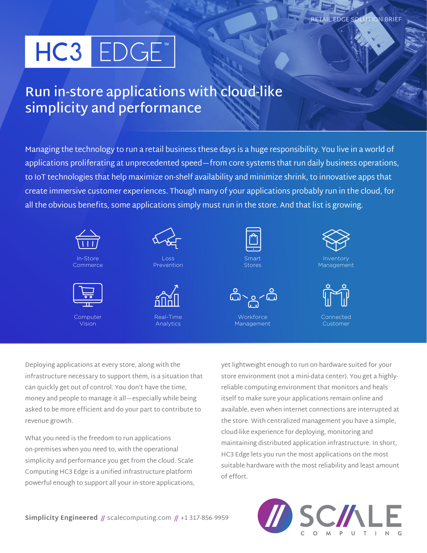# HC3 EDGE<sup>™</sup>

## **Run in-store applications with cloud-like simplicity and performance**

Managing the technology to run a retail business these days is a huge responsibility. You live in a world of applications proliferating at unprecedented speed—from core systems that run daily business operations, to IoT technologies that help maximize on-shelf availability and minimize shrink, to innovative apps that create immersive customer experiences. Though many of your applications probably run in the cloud, for all the obvious benefits, some applications simply must run in the store. And that list is growing.



Deploying applications at every store, along with the infrastructure necessary to support them, is a situation that can quickly get out of control. You don't have the time, money and people to manage it all—especially while being asked to be more efficient and do your part to contribute to revenue growth.

What you need is the freedom to run applications on-premises when you need to, with the operational simplicity and performance you get from the cloud. Scale Computing HC3 Edge is a unified infrastructure platform powerful enough to support all your in-store applications, yet lightweight enough to run on hardware suited for your store environment (not a mini-data center). You get a highlyreliable computing environment that monitors and heals itself to make sure your applications remain online and available, even when internet connections are interrupted at the store. With centralized management you have a simple, cloud-like experience for deploying, monitoring and maintaining distributed application infrastructure. In short, HC3 Edge lets you run the most applications on the most suitable hardware with the most reliability and least amount of effort.

 $CMN$